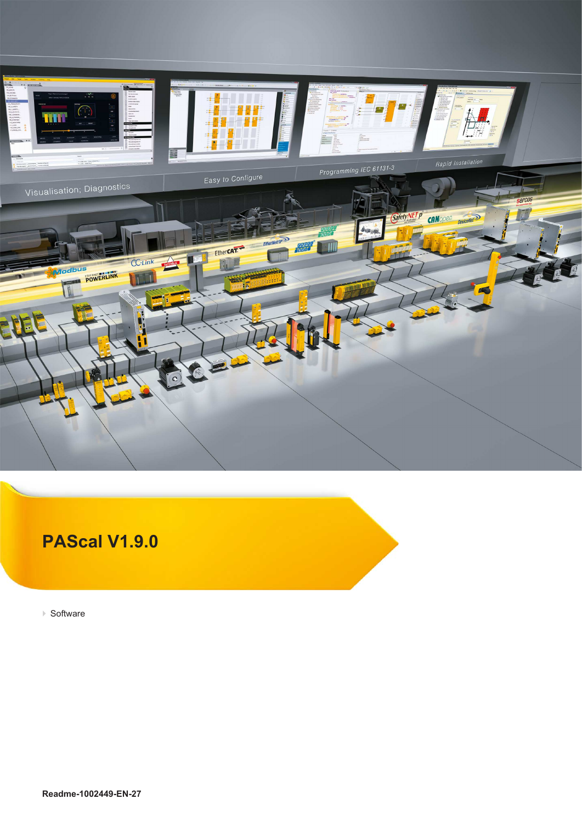

## **PAScal V1.9.0**

} Software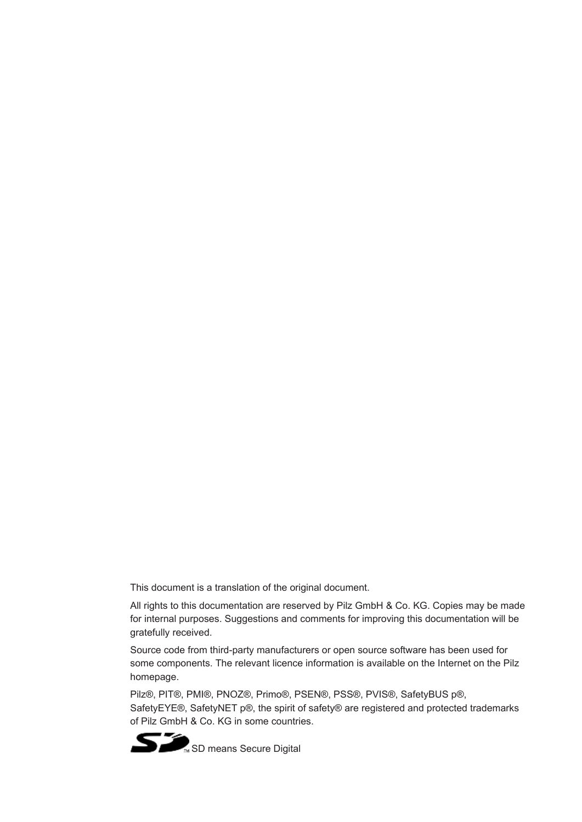This document is a translation of the original document.

All rights to this documentation are reserved by Pilz GmbH & Co. KG. Copies may be made for internal purposes. Suggestions and comments for improving this documentation will be gratefully received.

Source code from third-party manufacturers or open source software has been used for some components. The relevant licence information is available on the Internet on the Pilz homepage.

Pilz®, PIT®, PMI®, PNOZ®, Primo®, PSEN®, PSS®, PVIS®, SafetyBUS p®, SafetyEYE®, SafetyNET p®, the spirit of safety® are registered and protected trademarks of Pilz GmbH & Co. KG in some countries.

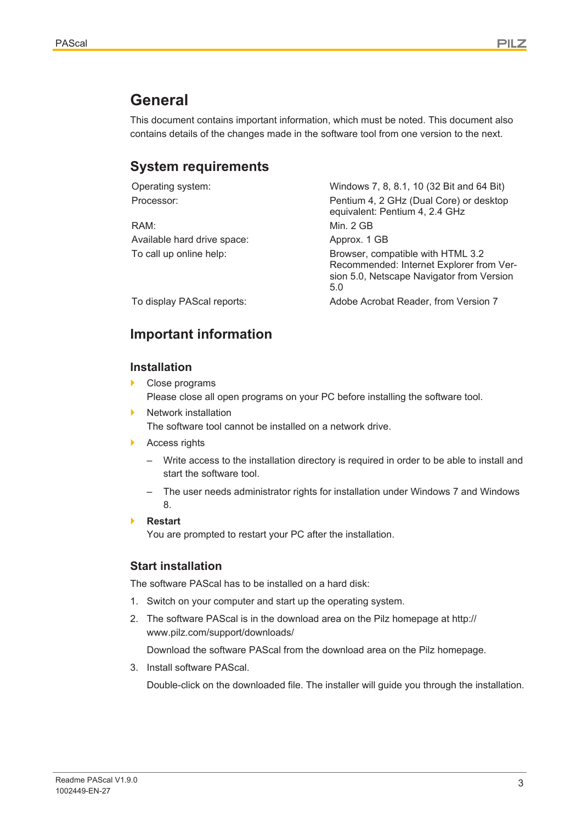## **General**

This document contains important information, which must be noted. This document also contains details of the changes made in the software tool from one version to the next.

### **System requirements**

| Operating system:           | Windows 7, 8, 8.1, 10 (32 Bit and 64 Bit)                                                                                         |
|-----------------------------|-----------------------------------------------------------------------------------------------------------------------------------|
| Processor:                  | Pentium 4, 2 GHz (Dual Core) or desktop<br>equivalent: Pentium 4, 2.4 GHz                                                         |
| RAM:                        | Min. 2 GB                                                                                                                         |
| Available hard drive space: | Approx. 1 GB                                                                                                                      |
| To call up online help:     | Browser, compatible with HTML 3.2<br>Recommended: Internet Explorer from Ver-<br>sion 5.0, Netscape Navigator from Version<br>5.0 |
| To display PAScal reports:  | Adobe Acrobat Reader, from Version 7                                                                                              |
|                             |                                                                                                                                   |

## **Important information**

#### **Installation**

- Close programs Please close all open programs on your PC before installing the software tool.
- Network installation The software tool cannot be installed on a network drive.
- ▶ Access rights
	- Write access to the installation directory is required in order to be able to install and start the software tool.
	- The user needs administrator rights for installation under Windows 7 and Windows 8.
- } **Restart**

You are prompted to restart your PC after the installation.

#### **Start installation**

The software PAScal has to be installed on a hard disk:

- 1. Switch on your computer and start up the operating system.
- 2. The software PAScal is in the download area on the Pilz homepage at [http://](http://www.pilz.com/support/downloads/) [www.pilz.com/support/downloads/](http://www.pilz.com/support/downloads/)

Download the software PAScal from the download area on the Pilz homepage.

3. Install software PAScal.

Double-click on the downloaded file. The installer will guide you through the installation.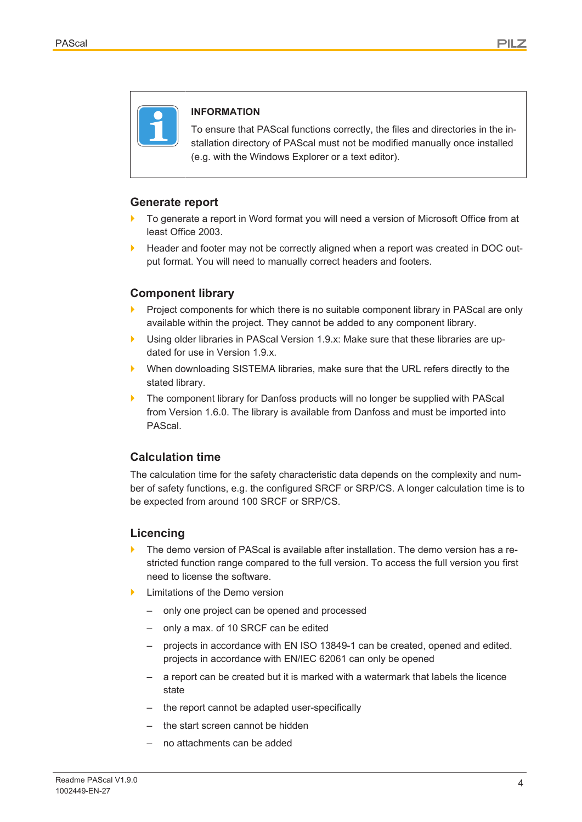

#### **INFORMATION**

To ensure that PAScal functions correctly, the files and directories in the installation directory of PAScal must not be modified manually once installed (e.g. with the Windows Explorer or a text editor).

#### **Generate report**

- To generate a report in Word format you will need a version of Microsoft Office from at least Office 2003.
- **EXECT** Header and footer may not be correctly aligned when a report was created in DOC output format. You will need to manually correct headers and footers.

#### **Component library**

- Project components for which there is no suitable component library in PAScal are only available within the project. They cannot be added to any component library.
- Using older libraries in PAScal Version 1.9.x: Make sure that these libraries are updated for use in Version 1.9.x.
- } When downloading SISTEMA libraries, make sure that the URL refers directly to the stated library.
- ▶ The component library for Danfoss products will no longer be supplied with PAScal from Version 1.6.0. The library is available from Danfoss and must be imported into PAScal.

#### **Calculation time**

The calculation time for the safety characteristic data depends on the complexity and number of safety functions, e.g. the configured SRCF or SRP/CS. A longer calculation time is to be expected from around 100 SRCF or SRP/CS.

#### **Licencing**

- The demo version of PAScal is available after installation. The demo version has a restricted function range compared to the full version. To access the full version you first need to license the software.
- Limitations of the Demo version
	- only one project can be opened and processed
	- only a max. of 10 SRCF can be edited
	- projects in accordance with EN ISO 13849‑1 can be created, opened and edited. projects in accordance with EN/IEC 62061 can only be opened
	- a report can be created but it is marked with a watermark that labels the licence state
	- the report cannot be adapted user-specifically
	- the start screen cannot be hidden
	- no attachments can be added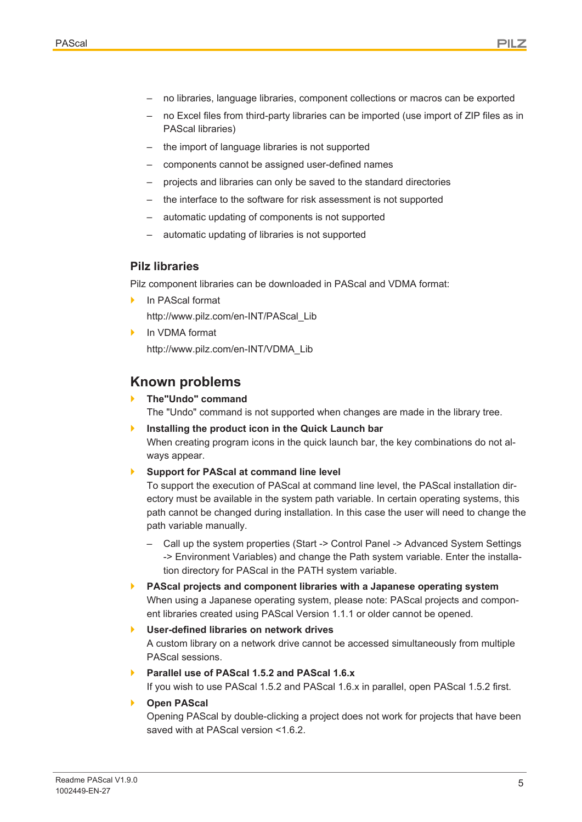- no libraries, language libraries, component collections or macros can be exported
- no Excel files from third-party libraries can be imported (use import of ZIP files as in PAScal libraries)
- the import of language libraries is not supported
- components cannot be assigned user-defined names
- projects and libraries can only be saved to the standard directories
- the interface to the software for risk assessment is not supported
- automatic updating of components is not supported
- automatic updating of libraries is not supported

#### **Pilz libraries**

Pilz component libraries can be downloaded in PAScal and VDMA format:

- In PAScal format [http://www.pilz.com/en-INT/PAScal\\_Lib](http://www.pilz.com/en-INT/PAScal_Lib)
- In VDMA format [http://www.pilz.com/en-INT/VDMA\\_Lib](http://www.pilz.com/en-INT/VDMA_Lib)

### **Known problems**

#### } **The"Undo" command**

The "Undo" command is not supported when changes are made in the library tree.

} **Installing the product icon in the Quick Launch bar** When creating program icons in the quick launch bar, the key combinations do not always appear.

#### } **Support for PAScal at command line level**

To support the execution of PAScal at command line level, the PAScal installation directory must be available in the system path variable. In certain operating systems, this path cannot be changed during installation. In this case the user will need to change the path variable manually.

- Call up the system properties (Start -> Control Panel -> Advanced System Settings -> Environment Variables) and change the Path system variable. Enter the installation directory for PAScal in the PATH system variable.
- } **PAScal projects and component libraries with a Japanese operating system** When using a Japanese operating system, please note: PAScal projects and component libraries created using PAScal Version 1.1.1 or older cannot be opened.
- } **User-defined libraries on network drives** A custom library on a network drive cannot be accessed simultaneously from multiple PAScal sessions.
- } **Parallel use of PAScal 1.5.2 and PAScal 1.6.x** If you wish to use PAScal 1.5.2 and PAScal 1.6.x in parallel, open PAScal 1.5.2 first.
- } **Open PAScal**

Opening PAScal by double-clicking a project does not work for projects that have been saved with at PAScal version <1.6.2.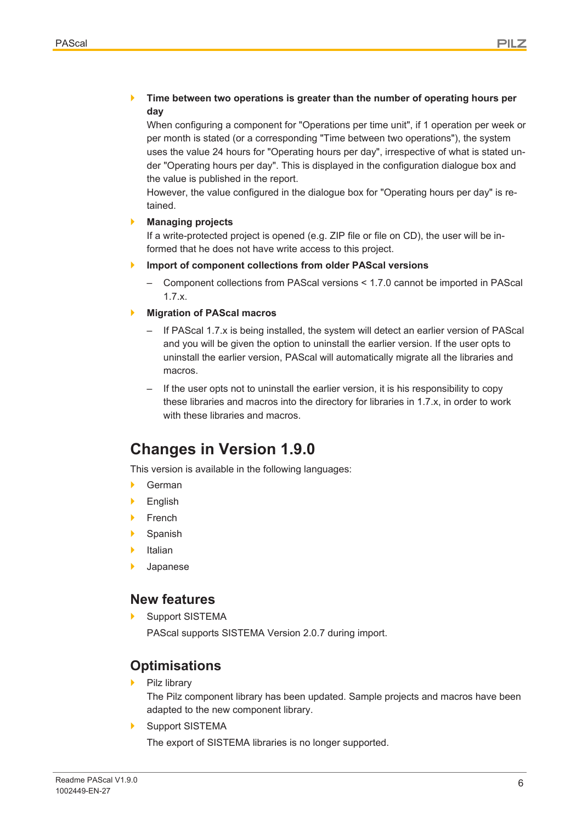#### } **Time between two operations is greater than the number of operating hours per day**

When configuring a component for "Operations per time unit", if 1 operation per week or per month is stated (or a corresponding "Time between two operations"), the system uses the value 24 hours for "Operating hours per day", irrespective of what is stated under "Operating hours per day". This is displayed in the configuration dialogue box and the value is published in the report.

However, the value configured in the dialogue box for "Operating hours per day" is retained.

#### } **Managing projects**

If a write-protected project is opened (e.g. ZIP file or file on CD), the user will be informed that he does not have write access to this project.

#### **Import of component collections from older PAScal versions**

– Component collections from PAScal versions < 1.7.0 cannot be imported in PAScal 1.7.x.

#### } **Migration of PAScal macros**

- If PAScal 1.7.x is being installed, the system will detect an earlier version of PAScal and you will be given the option to uninstall the earlier version. If the user opts to uninstall the earlier version, PAScal will automatically migrate all the libraries and macros.
- If the user opts not to uninstall the earlier version, it is his responsibility to copy these libraries and macros into the directory for libraries in 1.7.x, in order to work with these libraries and macros.

## **Changes in Version 1.9.0**

This version is available in the following languages:

- } German
- **English**
- **French**
- **Spanish**
- **Italian**
- **Japanese**

### **New features**

Support SISTEMA

PAScal supports SISTEMA Version 2.0.7 during import.

## **Optimisations**

Pilz library

The Pilz component library has been updated. Sample projects and macros have been adapted to the new component library.

Support SISTEMA

The export of SISTEMA libraries is no longer supported.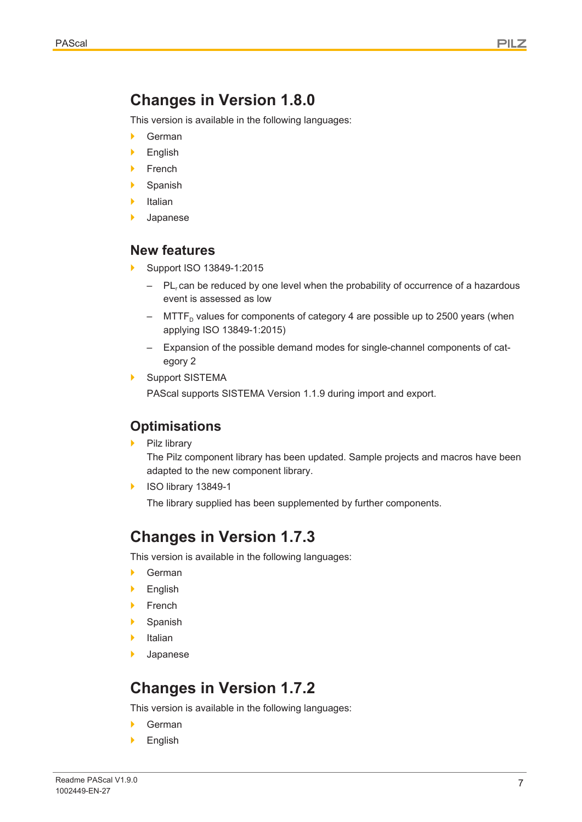## **Changes in Version 1.8.0**

This version is available in the following languages:

- } German
- **English**
- **French**
- **Spanish**
- **Italian**
- **Japanese**

#### **New features**

- } Support ISO 13849-1:2015
	- $-$  PL<sub>r</sub> can be reduced by one level when the probability of occurrence of a hazardous event is assessed as low
	- MTTF<sub>p</sub> values for components of category 4 are possible up to 2500 years (when applying ISO 13849-1:2015)
	- Expansion of the possible demand modes for single-channel components of category 2
- Support SISTEMA

PAScal supports SISTEMA Version 1.1.9 during import and export.

### **Optimisations**

Pilz library

The Pilz component library has been updated. Sample projects and macros have been adapted to the new component library.

} ISO library 13849-1

The library supplied has been supplemented by further components.

### **Changes in Version 1.7.3**

This version is available in the following languages:

- } German
- } English
- **French**
- **Spanish**
- **Italian**
- **Japanese**

## **Changes in Version 1.7.2**

This version is available in the following languages:

- } German
- **English**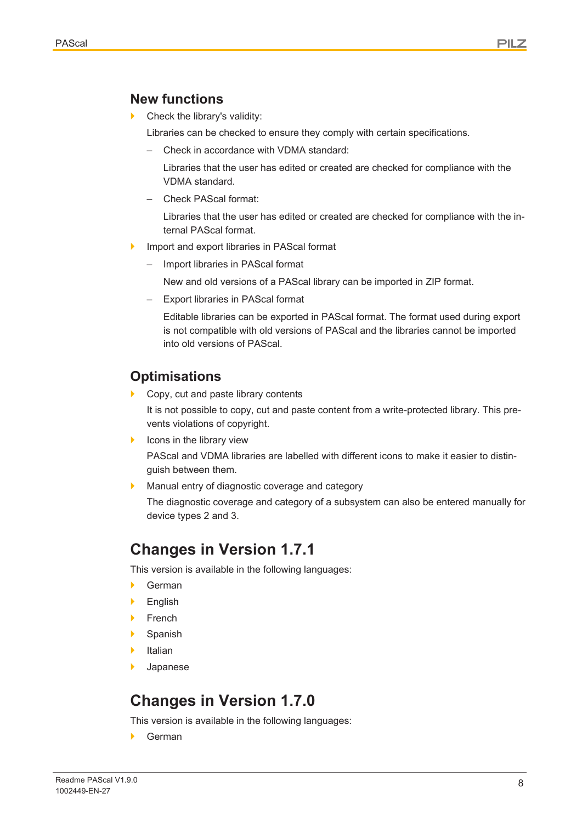### **New functions**

Check the library's validity:

Libraries can be checked to ensure they comply with certain specifications.

– Check in accordance with VDMA standard:

Libraries that the user has edited or created are checked for compliance with the VDMA standard.

– Check PAScal format:

Libraries that the user has edited or created are checked for compliance with the internal PAScal format.

- Import and export libraries in PAScal format
	- Import libraries in PAScal format

New and old versions of a PAScal library can be imported in ZIP format.

– Export libraries in PAScal format

Editable libraries can be exported in PAScal format. The format used during export is not compatible with old versions of PAScal and the libraries cannot be imported into old versions of PAScal.

## **Optimisations**

} Copy, cut and paste library contents

It is not possible to copy, cut and paste content from a write-protected library. This prevents violations of copyright.

 $\blacktriangleright$  Icons in the library view

PAScal and VDMA libraries are labelled with different icons to make it easier to distinguish between them.

Manual entry of diagnostic coverage and category

The diagnostic coverage and category of a subsystem can also be entered manually for device types 2 and 3.

## **Changes in Version 1.7.1**

This version is available in the following languages:

- } German
- **English**
- **French**
- **Spanish**
- **Italian**
- **Japanese**

## **Changes in Version 1.7.0**

This version is available in the following languages:

} German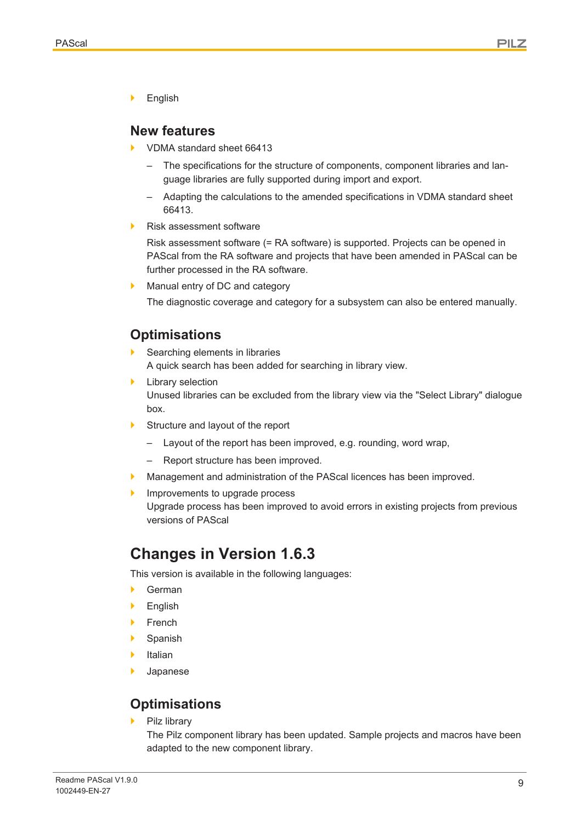**English** 

#### **New features**

- } VDMA standard sheet 66413
	- The specifications for the structure of components, component libraries and language libraries are fully supported during import and export.
	- Adapting the calculations to the amended specifications in VDMA standard sheet 66413.
- Risk assessment software

Risk assessment software (= RA software) is supported. Projects can be opened in PAScal from the RA software and projects that have been amended in PAScal can be further processed in the RA software.

Manual entry of DC and category

The diagnostic coverage and category for a subsystem can also be entered manually.

### **Optimisations**

- Searching elements in libraries A quick search has been added for searching in library view.
- **Library selection** Unused libraries can be excluded from the library view via the "Select Library" dialogue box.
- ▶ Structure and layout of the report
	- Layout of the report has been improved, e.g. rounding, word wrap,
	- Report structure has been improved.
	- Management and administration of the PAScal licences has been improved.
- Improvements to upgrade process
	- Upgrade process has been improved to avoid errors in existing projects from previous versions of PAScal

## **Changes in Version 1.6.3**

This version is available in the following languages:

- } German
- **English**
- **French**
- **Spanish**
- **Italian**
- **Japanese**

### **Optimisations**

Pilz library

The Pilz component library has been updated. Sample projects and macros have been adapted to the new component library.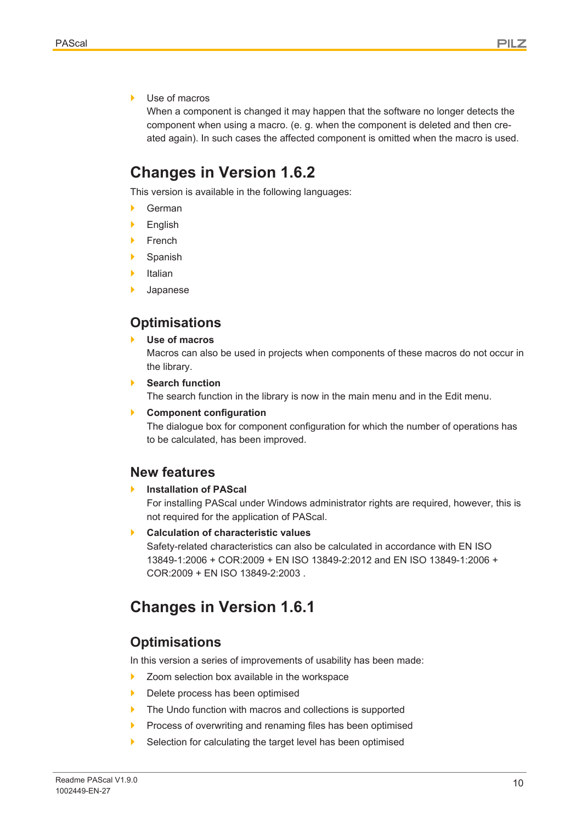Use of macros

When a component is changed it may happen that the software no longer detects the component when using a macro. (e. g. when the component is deleted and then created again). In such cases the affected component is omitted when the macro is used.

## **Changes in Version 1.6.2**

This version is available in the following languages:

- **German**
- **English**
- **French**
- **Spanish**
- **Italian**
- **Japanese**

### **Optimisations**

} **Use of macros**

Macros can also be used in projects when components of these macros do not occur in the library.

**Search function** The search function in the library is now in the main menu and in the Edit menu.

#### } **Component configuration**

The dialogue box for component configuration for which the number of operations has to be calculated, has been improved.

#### **New features**

**Installation of PAScal** 

For installing PAScal under Windows administrator rights are required, however, this is not required for the application of PAScal.

} **Calculation of characteristic values**

Safety-related characteristics can also be calculated in accordance with EN ISO 13849-1:2006 + COR:2009 + EN ISO 13849-2:2012 and EN ISO 13849-1:2006 + COR:2009 + EN ISO 13849-2:2003 .

## **Changes in Version 1.6.1**

### **Optimisations**

In this version a series of improvements of usability has been made:

- ▶ Zoom selection box available in the workspace
- Delete process has been optimised
- The Undo function with macros and collections is supported
- **Process of overwriting and renaming files has been optimised**
- Selection for calculating the target level has been optimised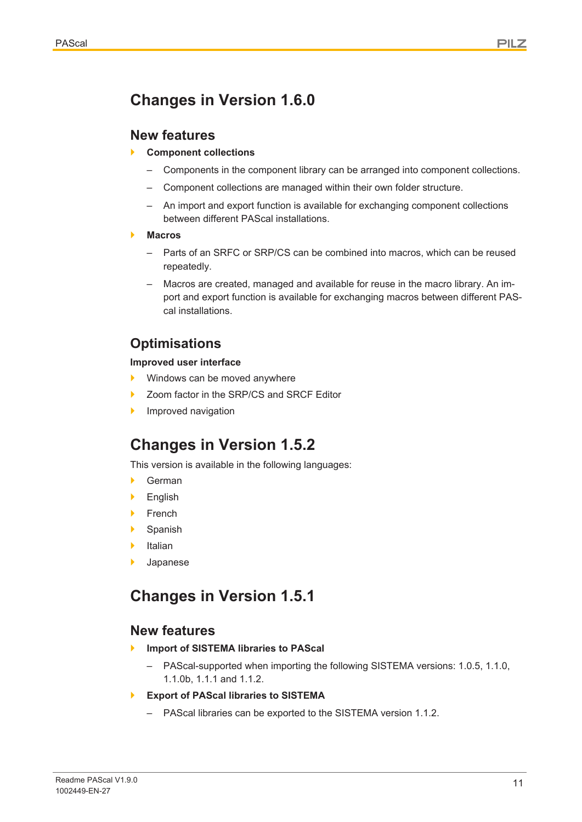## **Changes in Version 1.6.0**

### **New features**

- } **Component collections**
	- Components in the component library can be arranged into component collections.
	- Component collections are managed within their own folder structure.
	- An import and export function is available for exchanging component collections between different PAScal installations.
- } **Macros**
	- Parts of an SRFC or SRP/CS can be combined into macros, which can be reused repeatedly.
	- Macros are created, managed and available for reuse in the macro library. An import and export function is available for exchanging macros between different PAScal installations.

## **Optimisations**

#### **Improved user interface**

- Windows can be moved anywhere
- Zoom factor in the SRP/CS and SRCF Editor
- Improved navigation

## **Changes in Version 1.5.2**

This version is available in the following languages:

- } German
- **English**
- **French**
- **Spanish**
- **Italian**
- **Japanese**

## **Changes in Version 1.5.1**

### **New features**

- } **Import of SISTEMA libraries to PAScal**
	- PAScal-supported when importing the following SISTEMA versions: 1.0.5, 1.1.0, 1.1.0b, 1.1.1 and 1.1.2.
- } **Export of PAScal libraries to SISTEMA**
	- PAScal libraries can be exported to the SISTEMA version 1.1.2.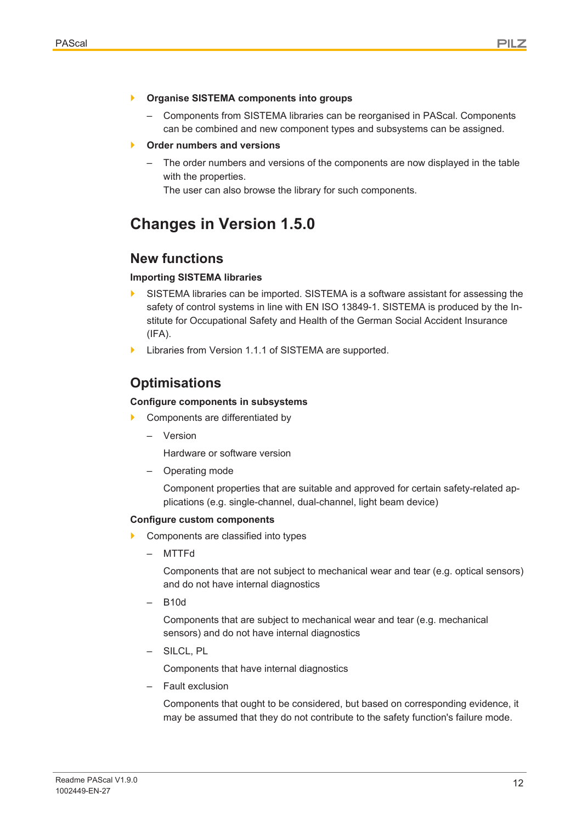- } **Organise SISTEMA components into groups**
	- Components from SISTEMA libraries can be reorganised in PAScal. Components can be combined and new component types and subsystems can be assigned.
- } **Order numbers and versions**
	- The order numbers and versions of the components are now displayed in the table with the properties.

The user can also browse the library for such components.

## **Changes in Version 1.5.0**

#### **New functions**

#### **Importing SISTEMA libraries**

- $\blacktriangleright$  SISTEMA libraries can be imported. SISTEMA is a software assistant for assessing the safety of control systems in line with EN ISO 13849-1. SISTEMA is produced by the Institute for Occupational Safety and Health of the German Social Accident Insurance  $(IFA)$ .
- Libraries from Version 1.1.1 of SISTEMA are supported.

### **Optimisations**

#### **Configure components in subsystems**

- Components are differentiated by
	- Version

Hardware or software version

– Operating mode

Component properties that are suitable and approved for certain safety-related applications (e.g. single-channel, dual-channel, light beam device)

#### **Configure custom components**

- } Components are classified into types
	- MTTFd

Components that are not subject to mechanical wear and tear (e.g. optical sensors) and do not have internal diagnostics

– B10d

Components that are subject to mechanical wear and tear (e.g. mechanical sensors) and do not have internal diagnostics

– SILCL, PL

Components that have internal diagnostics

– Fault exclusion

Components that ought to be considered, but based on corresponding evidence, it may be assumed that they do not contribute to the safety function's failure mode.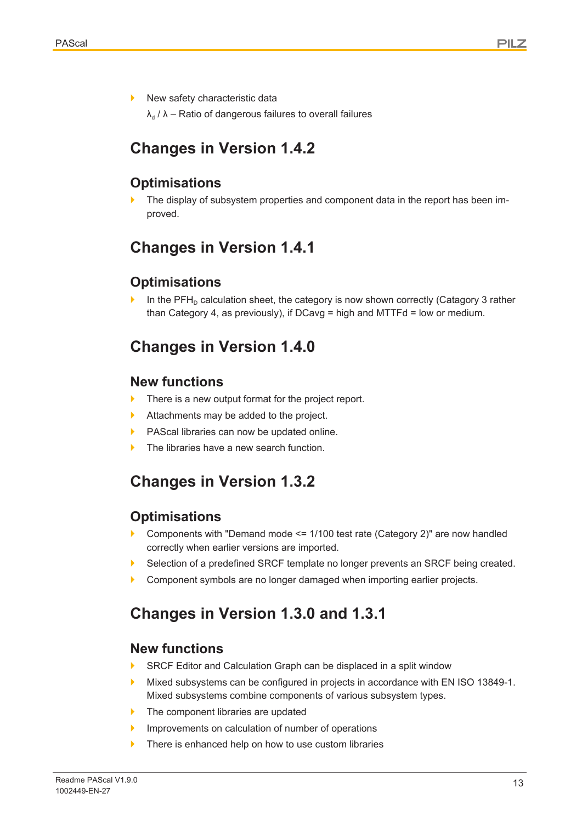New safety characteristic data

 $\lambda_d$  /  $\lambda$  – Ratio of dangerous failures to overall failures

## **Changes in Version 1.4.2**

### **Optimisations**

The display of subsystem properties and component data in the report has been improved.

## **Changes in Version 1.4.1**

### **Optimisations**

In the  $\text{PFH}_{\text{D}}$  calculation sheet, the category is now shown correctly (Catagory 3 rather than Category 4, as previously), if DCavg = high and MTTFd = low or medium.

## **Changes in Version 1.4.0**

### **New functions**

- There is a new output format for the project report.
- Attachments may be added to the project.
- PAScal libraries can now be updated online.
- The libraries have a new search function.

## **Changes in Version 1.3.2**

### **Optimisations**

- Components with "Demand mode  $\le$  = 1/100 test rate (Category 2)" are now handled correctly when earlier versions are imported.
- Selection of a predefined SRCF template no longer prevents an SRCF being created.
- Component symbols are no longer damaged when importing earlier projects.

## **Changes in Version 1.3.0 and 1.3.1**

### **New functions**

- SRCF Editor and Calculation Graph can be displaced in a split window
- } Mixed subsystems can be configured in projects in accordance with EN ISO 13849-1. Mixed subsystems combine components of various subsystem types.
- The component libraries are updated
- Improvements on calculation of number of operations
- There is enhanced help on how to use custom libraries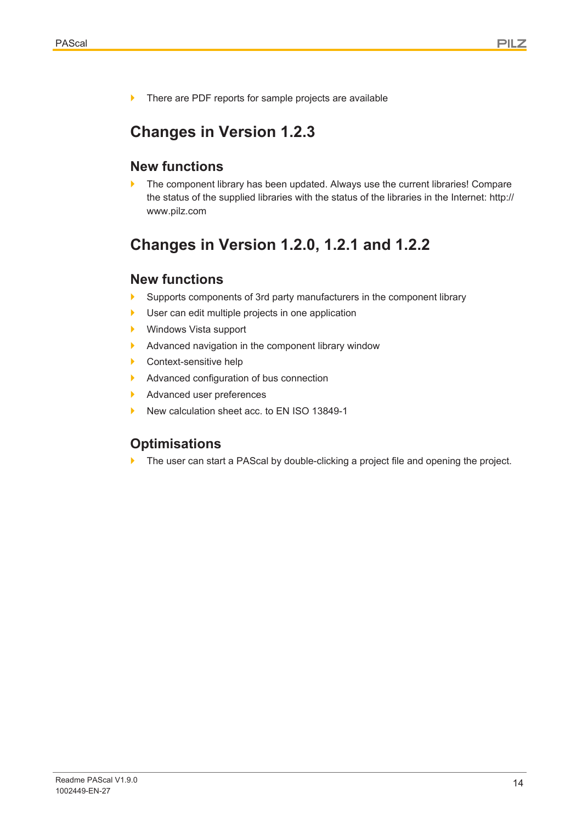▶ There are PDF reports for sample projects are available

## **Changes in Version 1.2.3**

### **New functions**

The component library has been updated. Always use the current libraries! Compare the status of the supplied libraries with the status of the libraries in the Internet: http:// www.pilz.com

## **Changes in Version 1.2.0, 1.2.1 and 1.2.2**

### **New functions**

- Supports components of 3rd party manufacturers in the component library
- } User can edit multiple projects in one application
- } Windows Vista support
- } Advanced navigation in the component library window
- ▶ Context-sensitive help
- **Advanced configuration of bus connection**
- Advanced user preferences
- } New calculation sheet acc. to EN ISO 13849-1

## **Optimisations**

The user can start a PAScal by double-clicking a project file and opening the project.